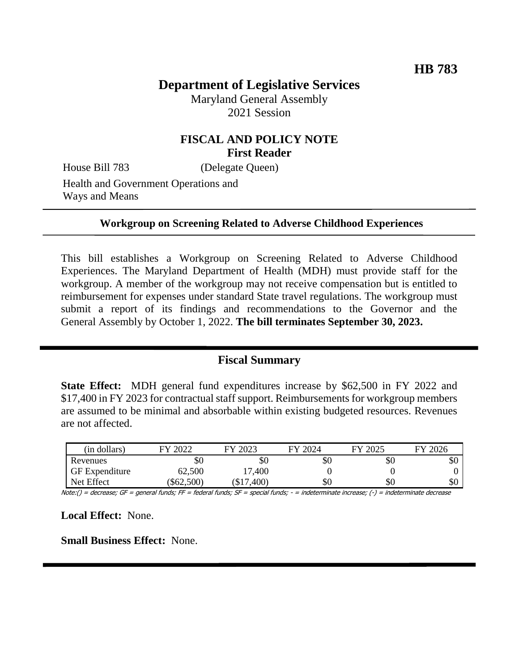# **Department of Legislative Services**

Maryland General Assembly 2021 Session

## **FISCAL AND POLICY NOTE First Reader**

House Bill 783 (Delegate Queen)

Health and Government Operations and Ways and Means

#### **Workgroup on Screening Related to Adverse Childhood Experiences**

This bill establishes a Workgroup on Screening Related to Adverse Childhood Experiences. The Maryland Department of Health (MDH) must provide staff for the workgroup. A member of the workgroup may not receive compensation but is entitled to reimbursement for expenses under standard State travel regulations. The workgroup must submit a report of its findings and recommendations to the Governor and the General Assembly by October 1, 2022. **The bill terminates September 30, 2023.**

#### **Fiscal Summary**

**State Effect:** MDH general fund expenditures increase by \$62,500 in FY 2022 and \$17,400 in FY 2023 for contractual staff support. Reimbursements for workgroup members are assumed to be minimal and absorbable within existing budgeted resources. Revenues are not affected.

| (in dollars)          | 2022<br>FV | 2023<br>FV | 2024 | FY 2025 | FY 2026 |
|-----------------------|------------|------------|------|---------|---------|
| Revenues              | \$0        | \$0        | \$0  | \$0     | \$0     |
| <b>GF</b> Expenditure | 62,500     | 17,400     |      |         |         |
| Net Effect            | \$62,500   | ,400<br>ФI | \$0  | \$0     | \$0     |

Note:() = decrease; GF = general funds; FF = federal funds; SF = special funds; - = indeterminate increase; (-) = indeterminate decrease

**Local Effect:** None.

**Small Business Effect:** None.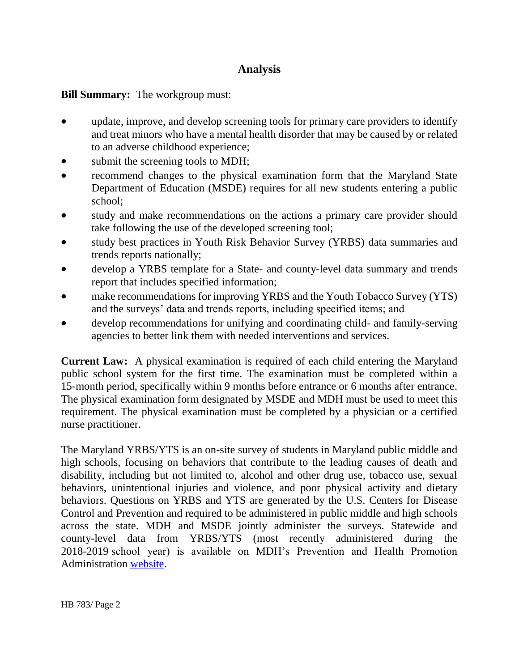## **Analysis**

**Bill Summary:** The workgroup must:

- update, improve, and develop screening tools for primary care providers to identify and treat minors who have a mental health disorder that may be caused by or related to an adverse childhood experience;
- submit the screening tools to MDH;
- recommend changes to the physical examination form that the Maryland State Department of Education (MSDE) requires for all new students entering a public school;
- study and make recommendations on the actions a primary care provider should take following the use of the developed screening tool;
- study best practices in Youth Risk Behavior Survey (YRBS) data summaries and trends reports nationally;
- develop a YRBS template for a State- and county-level data summary and trends report that includes specified information;
- make recommendations for improving YRBS and the Youth Tobacco Survey (YTS) and the surveys' data and trends reports, including specified items; and
- develop recommendations for unifying and coordinating child- and family-serving agencies to better link them with needed interventions and services.

**Current Law:** A physical examination is required of each child entering the Maryland public school system for the first time. The examination must be completed within a 15-month period, specifically within 9 months before entrance or 6 months after entrance. The physical examination form designated by MSDE and MDH must be used to meet this requirement. The physical examination must be completed by a physician or a certified nurse practitioner.

The Maryland YRBS/YTS is an on-site survey of students in Maryland public middle and high schools, focusing on behaviors that contribute to the leading causes of death and disability, including but not limited to, alcohol and other drug use, tobacco use, sexual behaviors, unintentional injuries and violence, and poor physical activity and dietary behaviors. Questions on YRBS and YTS are generated by the U.S. Centers for Disease Control and Prevention and required to be administered in public middle and high schools across the state. MDH and MSDE jointly administer the surveys. Statewide and county-level data from YRBS/YTS (most recently administered during the 2018-2019 school year) is available on MDH's Prevention and Health Promotion Administration [website.](https://phpa.health.maryland.gov/ccdpc/Reports/Pages/YRBS2018.aspx)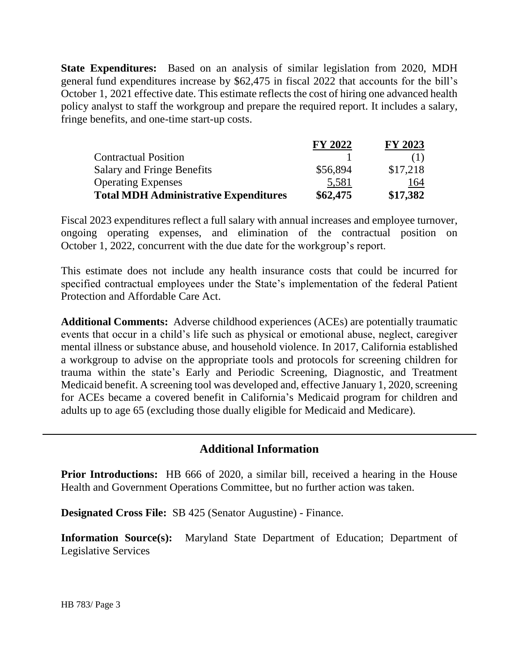**State Expenditures:** Based on an analysis of similar legislation from 2020, MDH general fund expenditures increase by \$62,475 in fiscal 2022 that accounts for the bill's October 1, 2021 effective date. This estimate reflects the cost of hiring one advanced health policy analyst to staff the workgroup and prepare the required report. It includes a salary, fringe benefits, and one-time start-up costs.

|                                              | <b>FY 2022</b> | <b>FY 2023</b> |
|----------------------------------------------|----------------|----------------|
| <b>Contractual Position</b>                  |                |                |
| <b>Salary and Fringe Benefits</b>            | \$56,894       | \$17,218       |
| <b>Operating Expenses</b>                    | 5,581          | 164            |
| <b>Total MDH Administrative Expenditures</b> | \$62,475       | \$17,382       |

Fiscal 2023 expenditures reflect a full salary with annual increases and employee turnover, ongoing operating expenses, and elimination of the contractual position on October 1, 2022, concurrent with the due date for the workgroup's report.

This estimate does not include any health insurance costs that could be incurred for specified contractual employees under the State's implementation of the federal Patient Protection and Affordable Care Act.

**Additional Comments:** Adverse childhood experiences (ACEs) are potentially traumatic events that occur in a child's life such as physical or emotional abuse, neglect, caregiver mental illness or substance abuse, and household violence. In 2017, California established a workgroup to advise on the appropriate tools and protocols for screening children for trauma within the state's Early and Periodic Screening, Diagnostic, and Treatment Medicaid benefit. A screening tool was developed and, effective January 1, 2020, screening for ACEs became a covered benefit in California's Medicaid program for children and adults up to age 65 (excluding those dually eligible for Medicaid and Medicare).

### **Additional Information**

**Prior Introductions:** HB 666 of 2020, a similar bill, received a hearing in the House Health and Government Operations Committee, but no further action was taken.

**Designated Cross File:** SB 425 (Senator Augustine) - Finance.

**Information Source(s):** Maryland State Department of Education; Department of Legislative Services